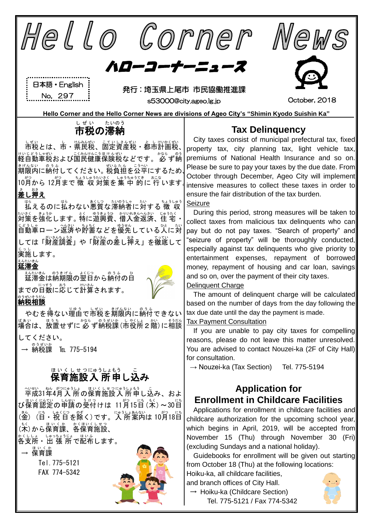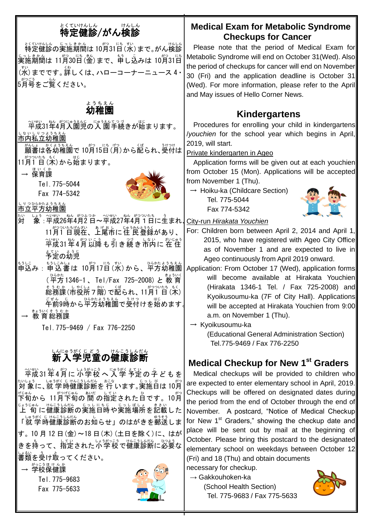## ī とくていけんしん<br>**特定健診/がん検診** とくていけんしん じっしきかん しゃくん しゃしん しゃしん しょうしん しょうしょうしきかん つうりき すい しょうしんしん じゅうしん 実施 じっし 期間 きかん は 11月 がつ 30日 にち (金 きん )まで、申 もう し込 こ みは 10月 がつ 31日 にち (水)までです。 詳しくは、 ハローコーナーニュース 4・ 5月号 がつごう をご覧 らん ください。 幼稚園 ようちえん 平成 へいせい 31年 ねん 4月 がつ 入園児 にゅうえんじ の入 園 にゅうえん 手続 てつづ きが始 はじ まります。 しないしりっょうちぇん<br>**市内私立幼稚園**  願書 がんしょ は各幼稚園 かくようちえん で 10月 がつ 15日 にち (月 げつ )から配 くば られ、受付 うけつけ は 11月1日(木)から始まります。 → 保育課 ほいくか Tel.775-5044 Fax 774-5342 市立平方幼稚園 しりつ ひらかた ようちえん 対 たい しょぅ 〜いせい ねん がつついたぁ。う<br>|象 : 平成26年4月2 日~平成27年4月1日に生まれ∫( 11月1 日現在、上尾市に住 民登録があり、 ҈ <br>゙<br>゚ヸ成31 年4月以降も引き続き市内に在住 ょ<sub>てい</sub><br>予定の幼児 <sub>もうに。</sub><br>申込み : 申込書は 10月17日(氷)から、平方幼稚園 (≌梵 1346−1 、Tel/Fax 725−2008)と教育 <sub>そうむか、</sub>しおし。<br>総務課 (市役所 7 階) で配られ、11月1 日 (木) <sub>えずん。」</sub>。<br>午前9時から平方幼稚園で受付けを始めます。 → 教育総務課 Tel.775-9469 / Fax 776-2250 新入学児童の健康診断 しんにゅうがく じ ど う けんこう しんだん ҈<br>平成31年4月に小学校へ入学予定の字どもを たいよう しゅうがく じゅんこうしんびん まこな しょうしょび しょう しゅうがく じゅうがく じゅんこうしんだん おこな しょうしょう だいろん パワン

<sub>げじゅん</sub><br>下旬から 11月下旬の 間 の指定された日です。10月 じょうじゅん はんさんじょうしょ きょい<br>上 旬に健康診断の実施日時や実施場所を記載した 「就 学時健康診断のお知らせ」のはがきを郵送しま す。10 月 12 日(金)~18 日(木)(土日を除く)に、はが きを持って、指定された小学校で健康診断に必要な しょ。。<br>書類を受け取ってください。

# → 学校保健課

Tel.775-9683 Fax 775-5633



## **Medical Exam for Metabolic Syndrome Checkups for Cancer**

Please note that the period of Medical Exam for Metabolic Syndrome will end on October 31 (Wed). Also the period of checkups for cancer will end on November 30 (Fri) and the application deadline is October 31 (Wed). For more information, please refer to the April and May issues of Hello Corner News.

## **Kindergartens**

Procedures for enrolling your child in kindergartens /*youchien* for the school year which begins in April, 2019, will start.

### Private kindergarten in Ageo

Application forms will be given out at each youchien from October 15 (Mon). Applications will be accepted from November 1 (Thu).

 $\rightarrow$  Hoiku-ka (Childcare Section) Tel. 775-5044 Fax 774-5342



### City-run *Hirakata Youchien*

- For: Children born between April 2, 2014 and April 1, 2015, who have registered with Ageo City Office as of November 1 and are expected to live in Ageo continuously from April 2019 onward.
- Application: From October 17 (Wed), application forms will become available at Hirakata Youchien (Hirakata 1346-1 Tel. / Fax 725-2008) and Kyoikusoumu-ka (7F of City Hall). Applications will be accepted at Hirakata Youchien from 9:00 a.m. on November 1 (Thu).
	- $\rightarrow$  Kyoikusoumu-ka

(Educational General Administration Section) Tel.775-9469 / Fax 776-2250

# **Medical Checkup for New 1st Graders**

Medical checkups will be provided to children who are expected to enter elementary school in April, 2019. Checkups will be offered on designated dates during the period from the end of October through the end of November. A postcard, "Notice of Medical Checkup for New 1<sup>st</sup> Graders," showing the checkup date and place will be sent out by mail at the beginning of October. Please bring this postcard to the designated elementary school on weekdays between October 12 (Fri) and 18 (Thu) and obtain documents

necessary for checkup.

 $\rightarrow$  Gakkouhoken-ka (School Health Section) Tel. 775-9683 / Fax 775-5633

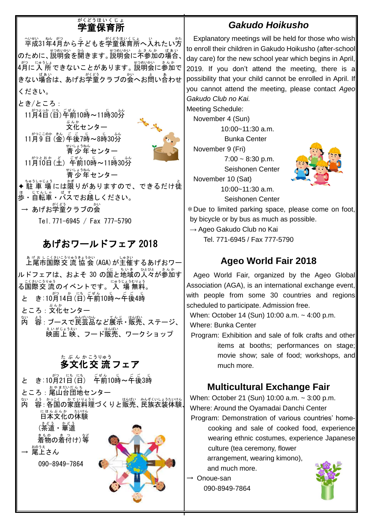#### 学童 保育所 がくどう ほ い く じ ょ

平成 へいせい 31年 ねん 4月 がつ から子 こ どもを学童 がくどう 保育所 ほいくじょ へ入 い れたい方 かた のために、説明会を開きます。説明会に不参加の場合、 4月に入 所 できないことがあります。 説明会に参加で きない場合は、あげお学童クラブの会へお問い含わせ ください。

とき/ところ:

11月4日(日)年前10時~11時30<mark>分</mark> 。。。<br>文化センター 11月 がつ 9 日 ここのか (金 きん )午後 ご ご 7時 じ ~8時 じ 30分 ふん



<del>www.sa</del>s<br>青少年センター 11月 がつ 10日 とおか (土 ど ) 午前 ごぜん 10時 じ ~11時 じ 30分 ふん <del>unus sas</del><br>青少年センター

◆ 駐 車 場 には限りがありますので、できるだけ徒 <sub>ほ・じてんしゃ</sub><br>歩・自転車・バスでお越しください。

→ あげお学童クラブの会

Tel.771-6945 / Fax 777-5790

# あげおワールドフェア 2018

ぁゖぉ<u>ょこく敲こうゅうまえが</u>、<br>上尾市国際交 流 協 会 (AGA) が主催するあげおワー ルドフェアは、およそ 30 の国と地域の人々が参加す 。こくおにうりゅう<br>る国際交 流のイベントです。 入 場 無料。 と き:10月14日(目)年前10時~年後4時 ところ : 文化センター 。、 ょぅ<br>内 容 : ブースで民芸品など展示 • 販売、ステージ、 ぇぃがいょぅぇぃ<br>映画上 映 、フード販売、ワークショップ

# たぶんかこうりゅう<br>**多文化交 流 フェア**

と き:10月21日(日) 年前10時~年後3時 ところ : 尾山台団地センター 内 ない 容 よう :各国 かっこく の家庭 かてい 料理 りょうり づくりと販売 はんばい 、民族 みんぞく 衣装 いしょう 体験 たいけん 、 にほんぶんか たいけん<br>**日本文化の体験** 、<sub>きどう かどう</sub><br>(茶道・華道 まもの まっ<br>**着物の着付け)等** → <sup>ぉのぅぇ</sup>

090-8949-7864



## *Gakudo Hoikusho*

Explanatory meetings will be held for those who wish to enroll their children in Gakudo Hoikusho (after-school day care) for the new school year which begins in April, 2019. If you don't attend the meeting, there is a possibility that your child cannot be enrolled in April. If you cannot attend the meeting, please contact *Ageo Gakudo Club no Kai.* 

Meeting Schedule:

November 4 (Sun)  $10:00 \approx 11:30$  a.m.

Bunka Center

November 9 (Fri)

 $7:00 \sim 8:30 \text{ p.m.}$ Seishonen Center

November 10 (Sat) 10:00~11:30 a.m.

Seishonen Center



\*Due to limited parking space, please come on foot, by bicycle or by bus as much as possible.

→ Ageo Gakudo Club no Kai Tel. 771-6945 / Fax 777-5790

## **Ageo World Fair 2018**

Ageo World Fair, organized by the Ageo Global Association (AGA), is an international exchange event, with people from some 30 countries and regions scheduled to participate. Admission free.

When: October 14 (Sun) 10:00 a.m. ~ 4:00 p.m.

Where: Bunka Center

Program: Exhibition and sale of folk crafts and other items at booths; performances on stage; movie show; sale of food; workshops, and much more.

## **Multicultural Exchange Fair**

When: October 21 (Sun) 10:00 a.m. ~ 3:00 p.m. Where: Around the Oyamadai Danchi Center

Program: Demonstration of various countries' homecooking and sale of cooked food, experience wearing ethnic costumes, experience Japanese culture (tea ceremony, flower

arrangement, wearing kimono), and much more.

→ Onoue-san 090-8949-7864